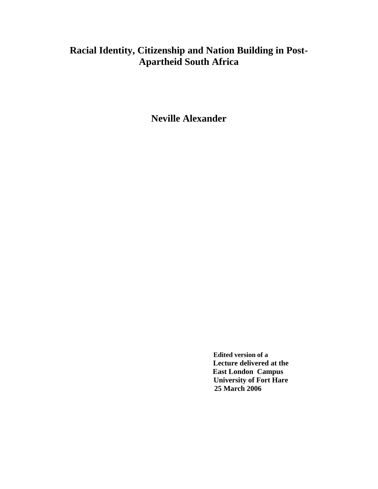# **Racial Identity, Citizenship and Nation Building in Post-Apartheid South Africa**

**Neville Alexander**

 **Edited version of a Lecture delivered at the East London Campus University of Fort Hare 25 March 2006**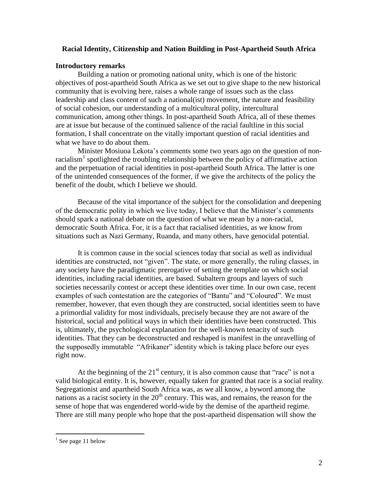## **Racial Identity, Citizenship and Nation Building in Post-Apartheid South Africa**

## **Introductory remarks**

Building a nation or promoting national unity, which is one of the historic objectives of post-apartheid South Africa as we set out to give shape to the new historical community that is evolving here, raises a whole range of issues such as the class leadership and class content of such a national(ist) movement, the nature and feasibility of social cohesion, our understanding of a multicultural polity, intercultural communication, among other things. In post-apartheid South Africa, all of these themes are at issue but because of the continued salience of the racial faultline in this social formation, I shall concentrate on the vitally important question of racial identities and what we have to do about them.

Minister Mosiuoa Lekota's comments some two years ago on the question of nonracialism<sup>1</sup> spotlighted the troubling relationship between the policy of affirmative action and the perpetuation of racial identities in post-apartheid South Africa. The latter is one of the unintended consequences of the former, if we give the architects of the policy the benefit of the doubt, which I believe we should.

Because of the vital importance of the subject for the consolidation and deepening of the democratic polity in which we live today, I believe that the Minister's comments should spark a national debate on the question of what we mean by a non-racial, democratic South Africa. For, it is a fact that racialised identities, as we know from situations such as Nazi Germany, Ruanda, and many others, have genocidal potential.

It is common cause in the social sciences today that social as well as individual identities are constructed, not "given". The state, or more generally, the ruling classes, in any society have the paradigmatic prerogative of setting the template on which social identities, including racial identities, are based. Subaltern groups and layers of such societies necessarily contest or accept these identities over time. In our own case, recent examples of such contestation are the categories of "Bantu" and "Coloured". We must remember, however, that even though they are constructed, social identities seem to have a primordial validity for most individuals, precisely because they are not aware of the historical, social and political ways in which their identities have been constructed. This is, ultimately, the psychological explanation for the well-known tenacity of such identities. That they can be deconstructed and reshaped is manifest in the unravelling of the supposedly immutable "Afrikaner" identity which is taking place before our eyes right now.

At the beginning of the  $21<sup>st</sup>$  century, it is also common cause that "race" is not a valid biological entity. It is, however, equally taken for granted that race is a social reality. Segregationist and apartheid South Africa was, as we all know, a byword among the nations as a racist society in the  $20<sup>th</sup>$  century. This was, and remains, the reason for the sense of hope that was engendered world-wide by the demise of the apartheid regime. There are still many people who hope that the post-apartheid dispensation will show the

 $1$  See page 11 below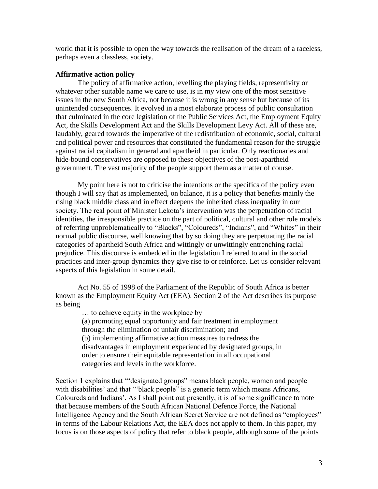world that it is possible to open the way towards the realisation of the dream of a raceless, perhaps even a classless, society.

# **Affirmative action policy**

The policy of affirmative action, levelling the playing fields, representivity or whatever other suitable name we care to use, is in my view one of the most sensitive issues in the new South Africa, not because it is wrong in any sense but because of its unintended consequences. It evolved in a most elaborate process of public consultation that culminated in the core legislation of the Public Services Act, the Employment Equity Act, the Skills Development Act and the Skills Development Levy Act. All of these are, laudably, geared towards the imperative of the redistribution of economic, social, cultural and political power and resources that constituted the fundamental reason for the struggle against racial capitalism in general and apartheid in particular. Only reactionaries and hide-bound conservatives are opposed to these objectives of the post-apartheid government. The vast majority of the people support them as a matter of course.

My point here is not to criticise the intentions or the specifics of the policy even though I will say that as implemented, on balance, it is a policy that benefits mainly the rising black middle class and in effect deepens the inherited class inequality in our society. The real point of Minister Lekota's intervention was the perpetuation of racial identities, the irresponsible practice on the part of political, cultural and other role models of referring unproblematically to "Blacks", "Coloureds", "Indians", and "Whites" in their normal public discourse, well knowing that by so doing they are perpetuating the racial categories of apartheid South Africa and wittingly or unwittingly entrenching racial prejudice. This discourse is embedded in the legislation I referred to and in the social practices and inter-group dynamics they give rise to or reinforce. Let us consider relevant aspects of this legislation in some detail.

Act No. 55 of 1998 of the Parliament of the Republic of South Africa is better known as the Employment Equity Act (EEA). Section 2 of the Act describes its purpose as being

… to achieve equity in the workplace by –

(a) promoting equal opportunity and fair treatment in employment through the elimination of unfair discrimination; and (b) implementing affirmative action measures to redress the disadvantages in employment experienced by designated groups, in order to ensure their equitable representation in all occupational categories and levels in the workforce.

Section 1 explains that '"designated groups" means black people, women and people with disabilities' and that ""black people" is a generic term which means Africans, Coloureds and Indians'. As I shall point out presently, it is of some significance to note that because members of the South African National Defence Force, the National Intelligence Agency and the South African Secret Service are not defined as "employees" in terms of the Labour Relations Act, the EEA does not apply to them. In this paper, my focus is on those aspects of policy that refer to black people, although some of the points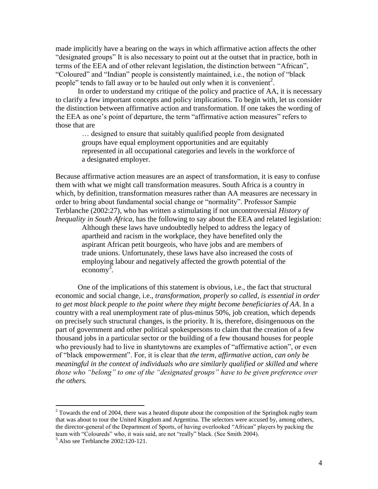made implicitly have a bearing on the ways in which affirmative action affects the other "designated groups" It is also necessary to point out at the outset that in practice, both in terms of the EEA and of other relevant legislation, the distinction between "African", "Coloured" and "Indian" people is consistently maintained, i.e., the notion of "black people" tends to fall away or to be hauled out only when it is convenient<sup>2</sup>.

In order to understand my critique of the policy and practice of AA, it is necessary to clarify a few important concepts and policy implications. To begin with, let us consider the distinction between affirmative action and transformation. If one takes the wording of the EEA as one's point of departure, the term "affirmative action measures" refers to those that are

… designed to ensure that suitably qualified people from designated groups have equal employment opportunities and are equitably represented in all occupational categories and levels in the workforce of a designated employer.

Because affirmative action measures are an aspect of transformation, it is easy to confuse them with what we might call transformation measures. South Africa is a country in which, by definition, transformation measures rather than AA measures are necessary in order to bring about fundamental social change or "normality". Professor Sampie Terblanche (2002:27), who has written a stimulating if not uncontroversial *History of Inequality in South Africa*, has the following to say about the EEA and related legislation:

Although these laws have undoubtedly helped to address the legacy of apartheid and racism in the workplace, they have benefited only the aspirant African petit bourgeois, who have jobs and are members of trade unions. Unfortunately, these laws have also increased the costs of employing labour and negatively affected the growth potential of the  $e \overline{\text{conomy}^3}$ .

One of the implications of this statement is obvious, i.e., the fact that structural economic and social change, i.e., *transformation, properly so called, is essential in order to get most black people to the point where they might become beneficiaries of AA*. In a country with a real unemployment rate of plus-minus 50%, job creation, which depends on precisely such structural changes, is the priority. It is, therefore, disingenuous on the part of government and other political spokespersons to claim that the creation of a few thousand jobs in a particular sector or the building of a few thousand houses for people who previously had to live in shantytowns are examples of "affirmative action", or even of "black empowerment". For, it is clear that *the term, affirmative action, can only be meaningful in the context of individuals who are similarly qualified or skilled and where those who "belong" to one of the "designated groups" have to be given preference over the others.* 

 $2^2$  Towards the end of 2004, there was a heated dispute about the composition of the Springbok rugby team that was about to tour the United Kingdom and Argentina. The selectors were accused by, among others, the director-general of the Department of Sports, of having overlooked "African" players by packing the team with "Coloureds" who, it wais said, are not "really" black. (See Smith 2004).

 $3$  Also see Terblanche 2002:120-121.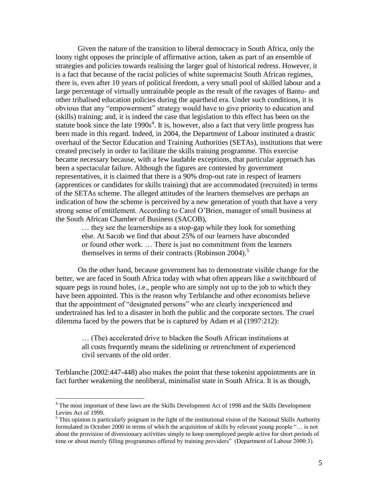Given the nature of the transition to liberal democracy in South Africa, only the loony right opposes the principle of affirmative action, taken as part of an ensemble of strategies and policies towards realising the larger goal of historical redress. However, it is a fact that because of the racist policies of white supremacist South African regimes, there is, even after 10 years of political freedom, a very small pool of skilled labour and a large percentage of virtually untrainable people as the result of the ravages of Bantu- and other tribalised education policies during the apartheid era. Under such conditions, it is obvious that any "empowerment" strategy would have to give priority to education and (skills) training; and, it is indeed the case that legislation to this effect has been on the statute book since the late  $1990s<sup>4</sup>$ . It is, however, also a fact that very little progress has been made in this regard. Indeed, in 2004, the Department of Labour instituted a drastic overhaul of the Sector Education and Training Authorities (SETAs), institutions that were created precisely in order to facilitate the skills training programme. This exercise became necessary because, with a few laudable exceptions, that particular approach has been a spectacular failure. Although the figures are contested by government representatives, it is claimed that there is a 90% drop-out rate in respect of learners (apprentices or candidates for skills training) that are accommodated (recruited) in terms of the SETAs scheme. The alleged attitudes of the learners themselves are perhaps an indication of how the scheme is perceived by a new generation of youth that have a very strong sense of entitlement. According to Carol O'Brien, manager of small business at the South African Chamber of Business (SACOB),

… they see the learnerships as a stop-gap while they look for something else. At Sacob we find that about 25% of our learners have absconded or found other work. … There is just no commitment from the learners themselves in terms of their contracts (Robinson 2004).<sup>5</sup>

On the other hand, because government has to demonstrate visible change for the better, we are faced in South Africa today with what often appears like a switchboard of square pegs in round holes, i.e., people who are simply not up to the job to which they have been appointed. This is the reason why Terblanche and other economists believe that the appointment of "designated persons" who are clearly inexperienced and undertrained has led to a disaster in both the public and the corporate sectors. The cruel dilemma faced by the powers that be is captured by Adam et al (1997:212):

… (The) accelerated drive to blacken the South African institutions at all costs frequently means the sidelining or retrenchment of experienced civil servants of the old order.

Terblanche (2002:447-448) also makes the point that these tokenist appointments are in fact further weakening the neoliberal, minimalist state in South Africa. It is as though,

<sup>&</sup>lt;sup>4</sup> The most important of these laws are the Skills Development Act of 1998 and the Skills Development Levies Act of 1999.

 $<sup>5</sup>$  This opinion is particularly poignant in the light of the institutional vision of the National Skills Authority</sup> formulated in October 2000 in terms of which the acquisition of skills by relevant young people "… is not about the provision of diversionary activities simply to keep unemployed people active for short periods of time or about merely filling programmes offered by training providers" (Department of Labour 2000:3).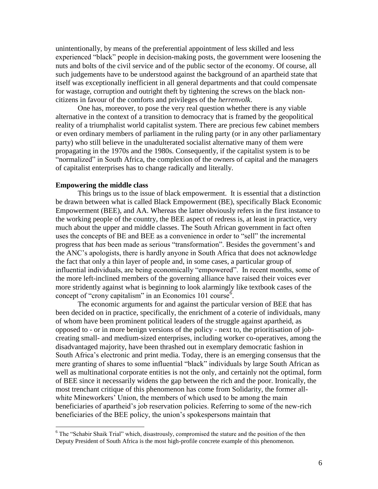unintentionally, by means of the preferential appointment of less skilled and less experienced "black" people in decision-making posts, the government were loosening the nuts and bolts of the civil service and of the public sector of the economy. Of course, all such judgements have to be understood against the background of an apartheid state that itself was exceptionally inefficient in all general departments and that could compensate for wastage, corruption and outright theft by tightening the screws on the black noncitizens in favour of the comforts and privileges of the *herrenvolk*.

One has, moreover, to pose the very real question whether there is any viable alternative in the context of a transition to democracy that is framed by the geopolitical reality of a triumphalist world capitalist system. There are precious few cabinet members or even ordinary members of parliament in the ruling party (or in any other parliamentary party) who still believe in the unadulterated socialist alternative many of them were propagating in the 1970s and the 1980s. Consequently, if the capitalist system is to be "normalized" in South Africa, the complexion of the owners of capital and the managers of capitalist enterprises has to change radically and literally.

#### **Empowering the middle class**

 $\overline{a}$ 

This brings us to the issue of black empowerment. It is essential that a distinction be drawn between what is called Black Empowerment (BE), specifically Black Economic Empowerment (BEE), and AA. Whereas the latter obviously refers in the first instance to the working people of the country, the BEE aspect of redress is, at least in practice, very much about the upper and middle classes. The South African government in fact often uses the concepts of BE and BEE as a convenience in order to "sell" the incremental progress that *has* been made as serious "transformation". Besides the government's and the ANC's apologists, there is hardly anyone in South Africa that does not acknowledge the fact that only a thin layer of people and, in some cases, a particular group of influential individuals, are being economically "empowered". In recent months, some of the more left-inclined members of the governing alliance have raised their voices ever more stridently against what is beginning to look alarmingly like textbook cases of the concept of "crony capitalism" in an Economics 101 course<sup>6</sup>.

The economic arguments for and against the particular version of BEE that has been decided on in practice, specifically, the enrichment of a coterie of individuals, many of whom have been prominent political leaders of the struggle against apartheid, as opposed to - or in more benign versions of the policy - next to, the prioritisation of jobcreating small- and medium-sized enterprises, including worker co-operatives, among the disadvantaged majority, have been thrashed out in exemplary democratic fashion in South Africa's electronic and print media. Today, there is an emerging consensus that the mere granting of shares to some influential "black" individuals by large South African as well as multinational corporate entities is not the only, and certainly not the optimal, form of BEE since it necessarily widens the gap between the rich and the poor. Ironically, the most trenchant critique of this phenomenon has come from Solidarity, the former allwhite Mineworkers' Union, the members of which used to be among the main beneficiaries of apartheid's job reservation policies. Referring to some of the new-rich beneficiaries of the BEE policy, the union's spokespersons maintain that

<sup>&</sup>lt;sup>6</sup> The "Schabir Shaik Trial" which, disastrously, compromised the stature and the position of the then Deputy President of South Africa is the most high-profile concrete example of this phenomenon.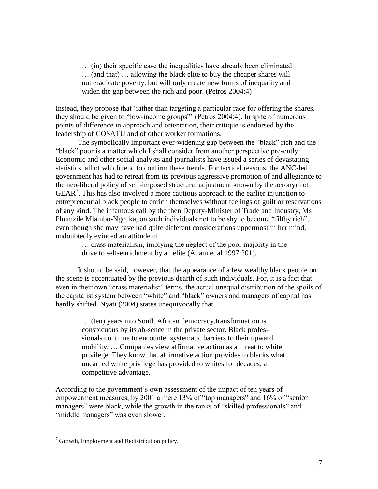… (in) their specific case the inequalities have already been eliminated … (and that) … allowing the black elite to buy the cheaper shares will not eradicate poverty, but will only create new forms of inequality and widen the gap between the rich and poor. (Petros 2004:4)

Instead, they propose that 'rather than targeting a particular race for offering the shares, they should be given to "low-income groups"' (Petros 2004:4). In spite of numerous points of difference in approach and orientation, their critique is endorsed by the leadership of COSATU and of other worker formations.

The symbolically important ever-widening gap between the "black" rich and the "black" poor is a matter which I shall consider from another perspective presently. Economic and other social analysts and journalists have issued a series of devastating statistics, all of which tend to confirm these trends. For tactical reasons, the ANC-led government has had to retreat from its previous aggressive promotion of and allegiance to the neo-liberal policy of self-imposed structural adjustment known by the acronym of GEAR<sup>7</sup>. This has also involved a more cautious approach to the earlier injunction to entrepreneurial black people to enrich themselves without feelings of guilt or reservations of any kind. The infamous call by the then Deputy-Minister of Trade and Industry, Ms Phumzile Mlambo-Ngcuka, on such individuals not to be shy to become "filthy rich", even though she may have had quite different considerations uppermost in her mind, undoubtedly evinced an attitude of

… crass materialism, implying the neglect of the poor majority in the drive to self-enrichment by an elite (Adam et al 1997:201).

It should be said, however, that the appearance of a few wealthy black people on the scene is accentuated by the previous dearth of such individuals. For, it is a fact that even in their own "crass materialist" terms, the actual unequal distribution of the spoils of the capitalist system between "white" and "black" owners and managers of capital has hardly shifted. Nyati (2004) states unequivocally that

… (ten) years into South African democracy,transformation is conspicuous by its ab-sence in the private sector. Black professionals continue to encounter systematic barriers to their upward mobility. … Companies view affirmative action as a threat to white privilege. They know that affirmative action provides to blacks what unearned white privilege has provided to whites for decades, a competitive advantage.

According to the government's own assessment of the impact of ten years of empowerment measures, by 2001 a mere 13% of "top managers" and 16% of "senior managers" were black, while the growth in the ranks of "skilled professionals" and "middle managers" was even slower.

 $7$  Growth, Employment and Redistribution policy.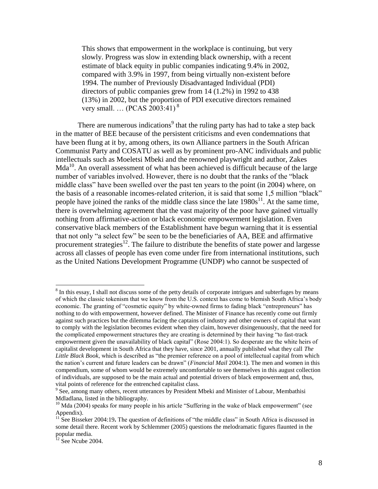This shows that empowerment in the workplace is continuing, but very slowly. Progress was slow in extending black ownership, with a recent estimate of black equity in public companies indicating 9.4% in 2002, compared with 3.9% in 1997, from being virtually non-existent before 1994. The number of Previously Disadvantaged Individual (PDI) directors of public companies grew from 14 (1.2%) in 1992 to 438 (13%) in 2002, but the proportion of PDI executive directors remained very small. ...  $(PCAS 2003:41)^8$ 

There are numerous indications<sup>9</sup> that the ruling party has had to take a step back in the matter of BEE because of the persistent criticisms and even condemnations that have been flung at it by, among others, its own Alliance partners in the South African Communist Party and COSATU as well as by prominent pro-ANC individuals and public intellectuals such as Moeletsi Mbeki and the renowned playwright and author, Zakes  $Mda<sup>10</sup>$ . An overall assessment of what has been achieved is difficult because of the large number of variables involved. However, there is no doubt that the ranks of the "black middle class" have been swelled over the past ten years to the point (in 2004) where, on the basis of a reasonable incomes-related criterion, it is said that some 1,5 million "black" people have joined the ranks of the middle class since the late  $1980s^{11}$ . At the same time, there is overwhelming agreement that the vast majority of the poor have gained virtually nothing from affirmative-action or black economic empowerment legislation. Even conservative black members of the Establishment have begun warning that it is essential that not only "a select few" be seen to be the beneficiaries of AA, BEE and affirmative procurement strategies $12$ . The failure to distribute the benefits of state power and largesse across all classes of people has even come under fire from international institutions, such as the United Nations Development Programme (UNDP) who cannot be suspected of

<sup>&</sup>lt;sup>8</sup> In this essay, I shall not discuss some of the petty details of corporate intrigues and subterfuges by means of which the classic tokenism that we know from the U.S. context has come to blemish South Africa's body economic. The granting of "cosmetic equity" by white-owned firms to fading black "entrepreneurs" has nothing to do with empowerment, however defined. The Minister of Finance has recently come out firmly against such practices but the dilemma facing the captains of industry and other owners of capital that want to comply with the legislation becomes evident when they claim, however disingenuously, that the need for the complicated empowerment structures they are creating is determined by their having "to fast-track empowerment given the unavailability of black capital" (Rose 2004:1). So desperate are the white heirs of capitalist development in South Africa that they have, since 2001, annually published what they call *The Little Black Book*, which is described as "the premier reference on a pool of intellectual capital from which the nation's current and future leaders can be drawn" (*Financial Mail* 2004:1). The men and women in this compendium, some of whom would be extremely uncomfortable to see themselves in this august collection of individuals, are supposed to be the main actual and potential drivers of black empowerment and, thus, vital points of reference for the entrenched capitalist class.

<sup>&</sup>lt;sup>9</sup> See, among many others, recent utterances by President Mbeki and Minister of Labour, Membathisi Mdladlana, listed in the bibliography.

 $10$  Mda (2004) speaks for many people in his article "Suffering in the wake of black empowerment" (see Appendix).

<sup>11</sup> See Bisseker 2004:19**.** The question of definitions of "the middle class" in South Africa is discussed in some detail there. Recent work by Schlemmer (2005) questions the melodramatic figures flaunted in the popular media.

 $12$  See Ncube 2004.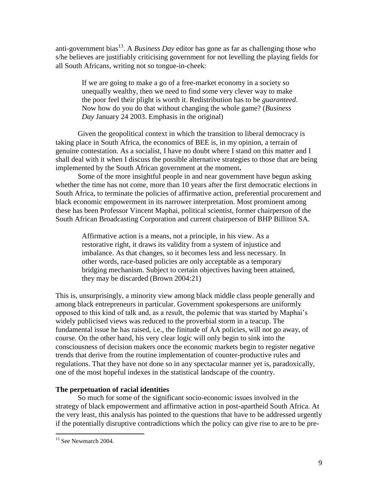anti-government bias<sup>13</sup>. A *Business Day* editor has gone as far as challenging those who s/he believes are justifiably criticising government for not levelling the playing fields for all South Africans, writing not so tongue-in-cheek:

If we are going to make a go of a free-market economy in a society so unequally wealthy, then we need to find some very clever way to make the poor feel their plight is worth it. Redistribution has to be *guaranteed*. Now how do you do that without changing the whole game? (*Business Day* January 24 2003. Emphasis in the original)

Given the geopolitical context in which the transition to liberal democracy is taking place in South Africa, the economics of BEE is, in my opinion, a terrain of genuine contestation. As a socialist, I have no doubt where I stand on this matter and I shall deal with it when I discuss the possible alternative strategies to those that are being implemented by the South African government at the moment**.**

Some of the more insightful people in and near government have begun asking whether the time has not come, more than 10 years after the first democratic elections in South Africa, to terminate the policies of affirmative action, preferential procurement and black economic empowerment in its narrower interpretation. Most prominent among these has been Professor Vincent Maphai, political scientist, former chairperson of the South African Broadcasting Corporation and current chairperson of BHP Billiton SA.

Affirmative action is a means, not a principle, in his view. As a restorative right, it draws its validity from a system of injustice and imbalance. As that changes, so it becomes less and less necessary. In other words, race-based policies are only acceptable as a temporary bridging mechanism. Subject to certain objectives having been attained, they may be discarded (Brown 2004:21)

This is, unsurprisingly, a minority view among black middle class people generally and among black entrepreneurs in particular. Government spokespersons are uniformly opposed to this kind of talk and, as a result, the polemic that was started by Maphai's widely publicised views was reduced to the proverbial storm in a teacup. The fundamental issue he has raised, i.e., the finitude of AA policies, will not go away, of course. On the other hand, his very clear logic will only begin to sink into the consciousness of decision makers once the economic markets begin to register negative trends that derive from the routine implementation of counter-productive rules and regulations. That they have not done so in any spectacular manner yet is, paradoxically, one of the most hopeful indexes in the statistical landscape of the country.

## **The perpetuation of racial identities**

So much for some of the significant socio-economic issues involved in the strategy of black empowerment and affirmative action in post-apartheid South Africa. At the very least, this analysis has pointed to the questions that have to be addressed urgently if the potentially disruptive contradictions which the policy can give rise to are to be pre-

<sup>&</sup>lt;sup>13</sup> See Newmarch 2004.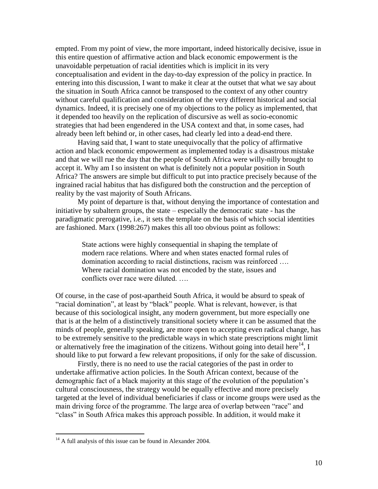empted. From my point of view, the more important, indeed historically decisive, issue in this entire question of affirmative action and black economic empowerment is the unavoidable perpetuation of racial identities which is implicit in its very conceptualisation and evident in the day-to-day expression of the policy in practice. In entering into this discussion, I want to make it clear at the outset that what we say about the situation in South Africa cannot be transposed to the context of any other country without careful qualification and consideration of the very different historical and social dynamics. Indeed, it is precisely one of my objections to the policy as implemented, that it depended too heavily on the replication of discursive as well as socio-economic strategies that had been engendered in the USA context and that, in some cases, had already been left behind or, in other cases, had clearly led into a dead-end there.

Having said that, I want to state unequivocally that the policy of affirmative action and black economic empowerment as implemented today is a disastrous mistake and that we will rue the day that the people of South Africa were willy-nilly brought to accept it. Why am I so insistent on what is definitely not a popular position in South Africa? The answers are simple but difficult to put into practice precisely because of the ingrained racial habitus that has disfigured both the construction and the perception of reality by the vast majority of South Africans.

My point of departure is that, without denying the importance of contestation and initiative by subaltern groups, the state – especially the democratic state - has the paradigmatic prerogative, i.e., it sets the template on the basis of which social identities are fashioned. Marx (1998:267) makes this all too obvious point as follows:

State actions were highly consequential in shaping the template of modern race relations. Where and when states enacted formal rules of domination according to racial distinctions, racism was reinforced …. Where racial domination was not encoded by the state, issues and conflicts over race were diluted. ….

Of course, in the case of post-apartheid South Africa, it would be absurd to speak of "racial domination", at least by "black" people. What is relevant, however, is that because of this sociological insight, any modern government, but more especially one that is at the helm of a distinctively transitional society where it can be assumed that the minds of people, generally speaking, are more open to accepting even radical change, has to be extremely sensitive to the predictable ways in which state prescriptions might limit or alternatively free the imagination of the citizens. Without going into detail here<sup>14</sup>, I should like to put forward a few relevant propositions, if only for the sake of discussion.

Firstly, there is no need to use the racial categories of the past in order to undertake affirmative action policies. In the South African context, because of the demographic fact of a black majority at this stage of the evolution of the population's cultural consciousness, the strategy would be equally effective and more precisely targeted at the level of individual beneficiaries if class or income groups were used as the main driving force of the programme. The large area of overlap between "race" and "class" in South Africa makes this approach possible. In addition, it would make it

 $14$  A full analysis of this issue can be found in Alexander 2004.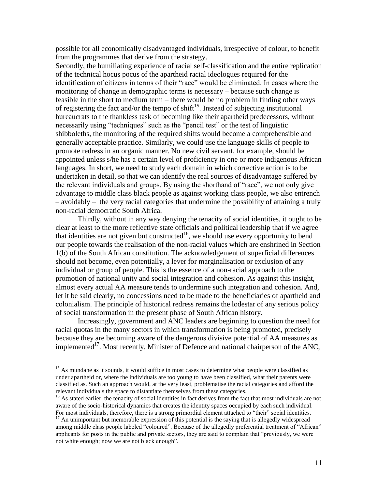possible for all economically disadvantaged individuals, irrespective of colour, to benefit from the programmes that derive from the strategy.

Secondly, the humiliating experience of racial self-classification and the entire replication of the technical hocus pocus of the apartheid racial ideologues required for the identification of citizens in terms of their "race" would be eliminated. In cases where the monitoring of change in demographic terms is necessary – because such change is feasible in the short to medium term – there would be no problem in finding other ways of registering the fact and/or the tempo of shift<sup>15</sup>. Instead of subjecting institutional bureaucrats to the thankless task of becoming like their apartheid predecessors, without necessarily using "techniques" such as the "pencil test" or the test of linguistic shibboleths, the monitoring of the required shifts would become a comprehensible and generally acceptable practice. Similarly, we could use the language skills of people to promote redress in an organic manner. No new civil servant, for example, should be appointed unless s/he has a certain level of proficiency in one or more indigenous African languages. In short, we need to study each domain in which corrective action is to be undertaken in detail, so that we can identify the real sources of disadvantage suffered by the relevant individuals and groups. By using the shorthand of "race", we not only give advantage to middle class black people as against working class people, we also entrench – avoidably – the very racial categories that undermine the possibility of attaining a truly non-racial democratic South Africa.

Thirdly, without in any way denying the tenacity of social identities, it ought to be clear at least to the more reflective state officials and political leadership that if we agree that identities are not given but constructed<sup>16</sup>, we should use every opportunity to bend our people towards the realisation of the non-racial values which are enshrined in Section 1(b) of the South African constitution. The acknowledgement of superficial differences should not become, even potentially, a lever for marginalisation or exclusion of any individual or group of people. This is the essence of a non-racial approach to the promotion of national unity and social integration and cohesion. As against this insight, almost every actual AA measure tends to undermine such integration and cohesion. And, let it be said clearly, no concessions need to be made to the beneficiaries of apartheid and colonialism. The principle of historical redress remains the lodestar of any serious policy of social transformation in the present phase of South African history.

Increasingly, government and ANC leaders are beginning to question the need for racial quotas in the many sectors in which transformation is being promoted, precisely because they are becoming aware of the dangerous divisive potential of AA measures as implemented<sup>17</sup>. Most recently, Minister of Defence and national chairperson of the ANC,

<sup>&</sup>lt;sup>15</sup> As mundane as it sounds, it would suffice in most cases to determine what people were classified as under apartheid or, where the individuals are too young to have been classified, what their parents were classified as. Such an approach would, at the very least, problematise the racial categories and afford the relevant individuals the space to distantiate themselves from these categories.

<sup>&</sup>lt;sup>16</sup> As stated earlier, the tenacity of social identities in fact derives from the fact that most individuals are not aware of the socio-historical dynamics that creates the identity spaces occupied by each such individual. For most individuals, therefore, there is a strong primordial element attached to "their" social identities.

 $17$  An unimportant but memorable expression of this potential is the saying that is allegedly widespread among middle class people labeled "coloured". Because of the allegedly preferential treatment of "African" applicants for posts in the public and private sectors, they are said to complain that "previously, we were not white enough; now we are not black enough".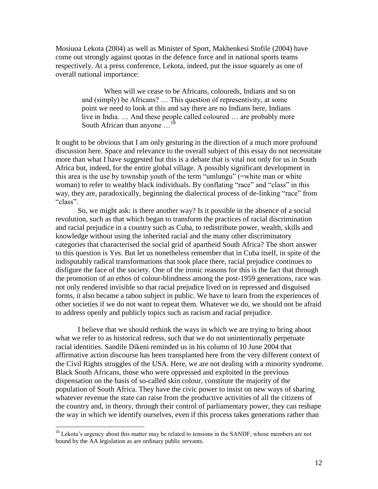Mosiuoa Lekota (2004) as well as Minister of Sport, Makhenkesi Stofile (2004) have come out strongly against quotas in the defence force and in national sports teams respectively. At a press conference, Lekota, indeed, put the issue squarely as one of overall national importance:

When will we cease to be Africans, coloureds, Indians and so on and (simply) be Africans? … This question of representivity, at some point we need to look at this and say there are no Indians here, Indians live in India. … And these people called coloured … are probably more South African than anyone  $\ldots$ <sup>18</sup>

It ought to be obvious that I am only gesturing in the direction of a much more profound discussion here. Space and relevance to the overall subject of this essay do not necessitate more than what I have suggested but this is a debate that is vital not only for us in South Africa but, indeed, for the entire global village. A possibly significant development in this area is the use by township youth of the term "umlungu" (=white man or white woman) to refer to wealthy black individuals. By conflating "race" and "class" in this way, they are, paradoxically, beginning the dialectical process of de-linking "race" from "class".

So, we might ask: is there another way? Is it possible in the absence of a social revolution, such as that which began to transform the practices of racial discrimination and racial prejudice in a country such as Cuba, to redistribute power, wealth, skills and knowledge without using the inherited racial and the many other discriminatory categories that characterised the social grid of apartheid South Africa? The short answer to this question is Yes. But let us nonetheless remember that in Cuba itself, in spite of the indisputably radical transformations that took place there, racial prejudice continues to disfigure the face of the society. One of the ironic reasons for this is the fact that through the promotion of an ethos of colour-blindness among the post-1959 generations, race was not only rendered invisible so that racial prejudice lived on in repressed and disguised forms, it also became a taboo subject in public. We have to learn from the experiences of other societies if we do not want to repeat them. Whatever we do, we should not be afraid to address openly and publicly topics such as racism and racial prejudice.

I believe that we should rethink the ways in which we are trying to bring about what we refer to as historical redress, such that we do not unintentionally perpetuate racial identities. Sandile Dikeni reminded us in his column of 10 June 2004 that affirmative action discourse has been transplanted here from the very different context of the Civil Rights struggles of the USA. Here, we are not dealing with a minority syndrome. Black South Africans, those who were oppressed and exploited in the previous dispensation on the basis of so-called skin colour, constitute the majority of the population of South Africa. They have the civic power to insist on new ways of sharing whatever revenue the state can raise from the productive activities of all the citizens of the country and, in theory, through their control of parliamentary power, they can reshape the way in which we identify ourselves, even if this process takes generations rather than

 $18$  Lekota's urgency about this matter may be related to tensions in the SANDF, whose members are not bound by the AA legislation as are ordinary public servants.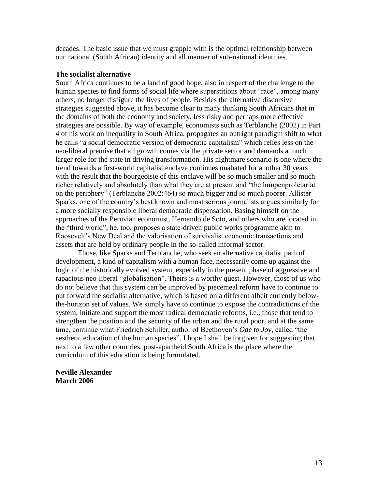decades. The basic issue that we must grapple with is the optimal relationship between our national (South African) identity and all manner of sub-national identities.

#### **The socialist alternative**

South Africa continues to be a land of good hope, also in respect of the challenge to the human species to find forms of social life where superstitions about "race", among many others, no longer disfigure the lives of people. Besides the alternative discursive strategies suggested above, it has become clear to many thinking South Africans that in the domains of both the economy and society, less risky and perhaps more effective strategies are possible. By way of example, economists such as Terblanche (2002) in Part 4 of his work on inequality in South Africa, propagates an outright paradigm shift to what he calls "a social democratic version of democratic capitalism" which relies less on the neo-liberal premise that all growth comes via the private sector and demands a much larger role for the state in driving transformation. His nightmare scenario is one where the trend towards a first-world capitalist enclave continues unabated for another 30 years with the result that the bourgeoisie of this enclave will be so much smaller and so much richer relatively and absolutely than what they are at present and "the lumpenproletariat on the periphery" (Terblanche 2002:464) so much bigger and so much poorer. Allister Sparks, one of the country's best known and most serious journalists argues similarly for a more socially responsible liberal democratic dispensation. Basing himself on the approaches of the Peruvian economist, Hernando de Soto, and others who are located in the "third world", he, too, proposes a state-driven public works programme akin to Roosevelt's New Deal and the valorisation of survivalist economic transactions and assets that are held by ordinary people in the so-called informal sector.

Those, like Sparks and Terblanche, who seek an alternative capitalist path of development, a kind of capitalism with a human face, necessarily come up against the logic of the historically evolved system, especially in the present phase of aggressive and rapacious neo-liberal "globalisation". Theirs is a worthy quest. However, those of us who do not believe that this system can be improved by piecemeal reform have to continue to put forward the socialist alternative, which is based on a different albeit currently belowthe-horizon set of values. We simply have to continue to expose the contradictions of the system, initiate and support the most radical democratic reforms, i.e., those that tend to strengthen the position and the security of the urban and the rural poor, and at the same time, continue what Friedrich Schiller, author of Beethoven's *Ode to Joy*, called "the aesthetic education of the human species". I hope I shall be forgiven for suggesting that, next to a few other countries, post-apartheid South Africa is the place where the curriculum of this education is being formulated.

**Neville Alexander March 2006**